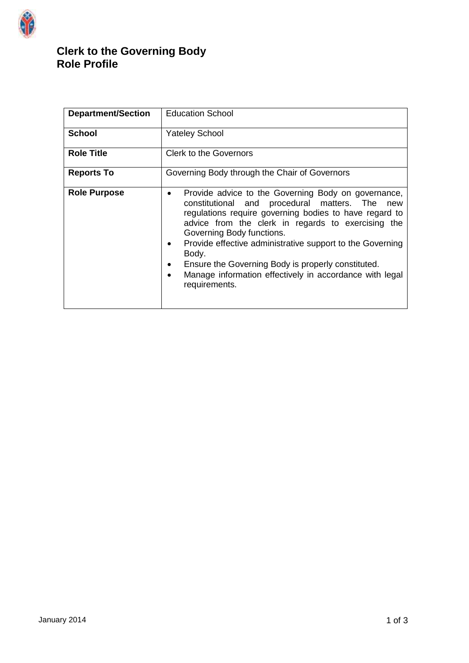

# **Clerk to the Governing Body Role Profile**

| <b>Department/Section</b> | <b>Education School</b>                                                                                                                                                                                                                                                                                                                                                                                                                                                    |
|---------------------------|----------------------------------------------------------------------------------------------------------------------------------------------------------------------------------------------------------------------------------------------------------------------------------------------------------------------------------------------------------------------------------------------------------------------------------------------------------------------------|
| <b>School</b>             | <b>Yateley School</b>                                                                                                                                                                                                                                                                                                                                                                                                                                                      |
| <b>Role Title</b>         | <b>Clerk to the Governors</b>                                                                                                                                                                                                                                                                                                                                                                                                                                              |
| <b>Reports To</b>         | Governing Body through the Chair of Governors                                                                                                                                                                                                                                                                                                                                                                                                                              |
| <b>Role Purpose</b>       | Provide advice to the Governing Body on governance,<br>$\bullet$<br>constitutional and procedural matters. The<br>new<br>regulations require governing bodies to have regard to<br>advice from the clerk in regards to exercising the<br>Governing Body functions.<br>Provide effective administrative support to the Governing<br>Body.<br>Ensure the Governing Body is properly constituted.<br>Manage information effectively in accordance with legal<br>requirements. |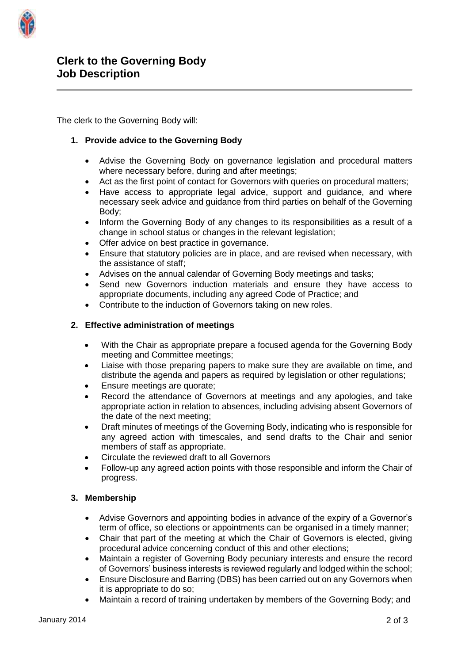

The clerk to the Governing Body will:

# **1. Provide advice to the Governing Body**

- Advise the Governing Body on governance legislation and procedural matters where necessary before, during and after meetings;
- Act as the first point of contact for Governors with queries on procedural matters;
- Have access to appropriate legal advice, support and guidance, and where necessary seek advice and guidance from third parties on behalf of the Governing Body;
- Inform the Governing Body of any changes to its responsibilities as a result of a change in school status or changes in the relevant legislation;
- Offer advice on best practice in governance.
- Ensure that statutory policies are in place, and are revised when necessary, with the assistance of staff;
- Advises on the annual calendar of Governing Body meetings and tasks;
- Send new Governors induction materials and ensure they have access to appropriate documents, including any agreed Code of Practice; and
- Contribute to the induction of Governors taking on new roles.

## **2. Effective administration of meetings**

- With the Chair as appropriate prepare a focused agenda for the Governing Body meeting and Committee meetings;
- Liaise with those preparing papers to make sure they are available on time, and distribute the agenda and papers as required by legislation or other regulations;
- Ensure meetings are quorate;
- Record the attendance of Governors at meetings and any apologies, and take appropriate action in relation to absences, including advising absent Governors of the date of the next meeting;
- Draft minutes of meetings of the Governing Body, indicating who is responsible for any agreed action with timescales, and send drafts to the Chair and senior members of staff as appropriate.
- Circulate the reviewed draft to all Governors
- Follow-up any agreed action points with those responsible and inform the Chair of progress.

## **3. Membership**

- Advise Governors and appointing bodies in advance of the expiry of a Governor's term of office, so elections or appointments can be organised in a timely manner;
- Chair that part of the meeting at which the Chair of Governors is elected, giving procedural advice concerning conduct of this and other elections;
- Maintain a register of Governing Body pecuniary interests and ensure the record of Governors' business interests is reviewed regularly and lodged within the school;
- Ensure Disclosure and Barring (DBS) has been carried out on any Governors when it is appropriate to do so;
- Maintain a record of training undertaken by members of the Governing Body; and